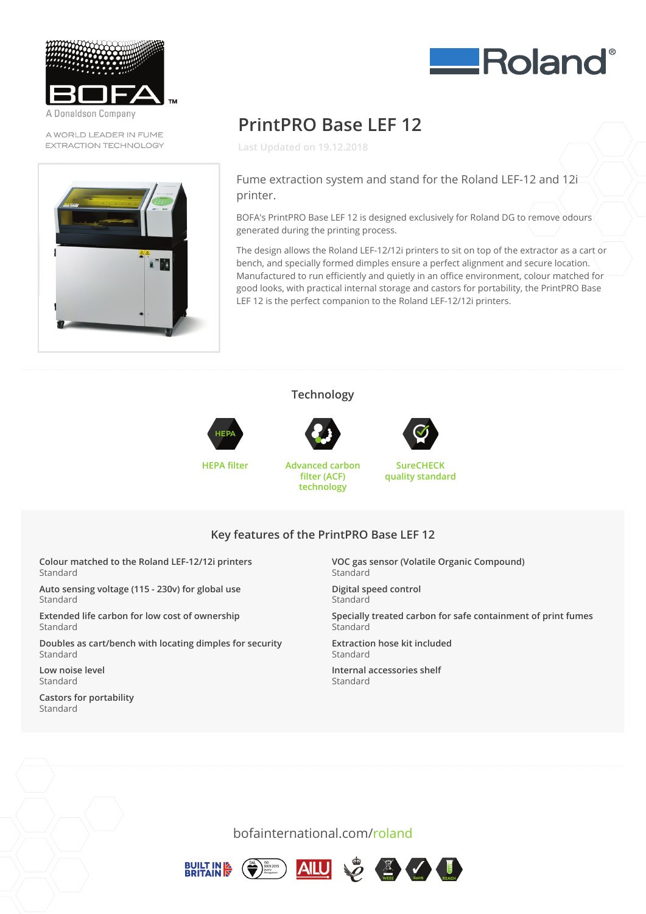

A Donaldson Company

A WORLD LEADER IN FUME EXTRACTION TECHNOLOGY





# **PrintPRO Base LEF 12**

**Last Updated on 19.12.2018**

#### Fume extraction system and stand for the Roland LEF-12 and 12i printer.

BOFA's PrintPRO Base LEF 12 is designed exclusively for Roland DG to remove odours generated during the printing process.

The design allows the Roland LEF-12/12i printers to sit on top of the extractor as a cart or<br>. bench, and specially formed dimples ensure a perfect alignment and secure location.<br>. Manufactured to run efficiently and quietly in an office environment, colour matched for good looks, with practical internal storage and castors for portability, the PrintPRO Base LEF 12 is the perfect companion to the Roland LEF-12/12i printers.

#### **Technology**





**HEPA filter Advanced carbon filter (ACF) technology**



**SureCHECK quality standard**

## **Key features of the PrintPRO Base LEF 12 technology**

**Colour matched to the Roland LEF-12/12i printers** Standard

**Auto sensing voltage (115 - 230v) for global use** Standard **Colour matched to the Roland LEF-12/12i printers**

Extended life carbon for low cost of ownership **Autorization** 

Doubles as cart/bench with locating dimples for security **Extended life carbon for low cost of our low cost of our low cost of our low cost of our low cost of our low cost of our low cost of our low cost of our low cost of our low cost of our low cost of our low cost of our low** 

Low noise level Standard **Doubles as cartical with locating dimension of security**  $\mathbf{C} = \mathbf{C} \mathbf{C} \mathbf{C}$  **and**  $\mathbf{C} = \mathbf{C} \mathbf{C} \mathbf{C} \mathbf{C}$  **and**  $\mathbf{C} = \mathbf{C} \mathbf{C} \mathbf{C} \mathbf{C} \mathbf{C} \mathbf{C}$ 

Castors for portability Standard

**VOC gas sensor (Volatile Organic Compound)** Standard **Key features of the PrintPRO Base LEF 12**

> **Digital speed control Standard Volatile Organization**

Specially treated carbon for safe containment of print fumes Standard **Digital Standard** 

**Extraction hose kit included** Standard  $\mathsf{t}$  and and  $\mathsf{c}$  is a safe containment of print  $\mathsf{c}$  is a safe containment of print  $\mathsf{c}$  is a safe containment of  $\mathsf{c}$  is a safe containment of  $\mathsf{c}$  is a safe containment of  $\mathsf{c}$  is a safe cont

**Internal accessories shelf Extraction hoster control** 

bofainternational.com/roland

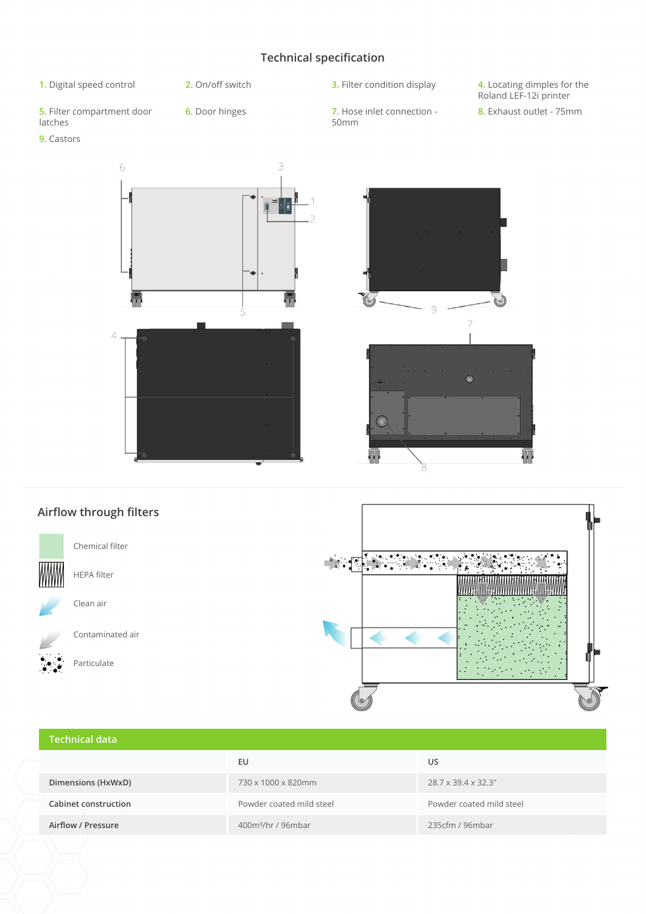### **Technical specification**

- 
- 

**5.** Filter compartment door latches

**9.** Castors

- 
- **6.** Door hinges **7.** Hose inlet connection 50mm

**1.** Digital speed control **2.** On/off switch **3.** Filter condition display **4.** Locating dimples for the Roland LEF-12i printer

**8.** Exhaust outlet - 75mm







# **Technical data EU US Dimensions (HxWxD)** 730 x 1000 x 820mm 28.7 x 39.4 x 32.3" **Cabinet construction** Powder coated mild steel Powder coated mild steel **Airflow / Pressure** 400m³/hr / 96mbar 235cfm / 96mbar